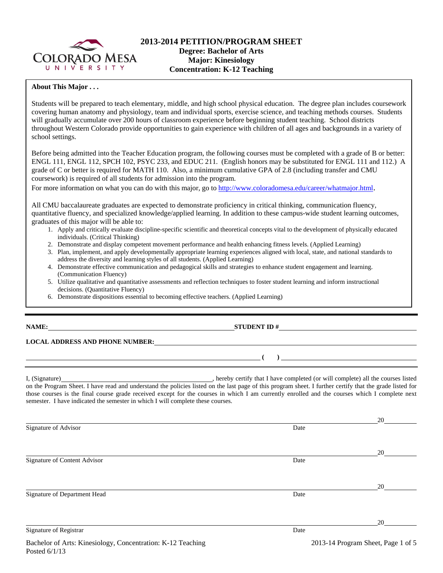

### **About This Major . . .**

Students will be prepared to teach elementary, middle, and high school physical education. The degree plan includes coursework covering human anatomy and physiology, team and individual sports, exercise science, and teaching methods courses. Students will gradually accumulate over 200 hours of classroom experience before beginning student teaching. School districts throughout Western Colorado provide opportunities to gain experience with children of all ages and backgrounds in a variety of school settings.

Before being admitted into the Teacher Education program, the following courses must be completed with a grade of B or better: ENGL 111, ENGL 112, SPCH 102, PSYC 233, and EDUC 211. (English honors may be substituted for ENGL 111 and 112.) A grade of C or better is required for MATH 110. Also, a minimum cumulative GPA of 2.8 (including transfer and CMU coursework) is required of all students for admission into the program.

For more information on what you can do with this major, go to http://www.coloradomesa.edu/career/whatmajor.html.

All CMU baccalaureate graduates are expected to demonstrate proficiency in critical thinking, communication fluency, quantitative fluency, and specialized knowledge/applied learning. In addition to these campus-wide student learning outcomes, graduates of this major will be able to:

- 1. Apply and critically evaluate discipline-specific scientific and theoretical concepts vital to the development of physically educated individuals. (Critical Thinking)
- 2. Demonstrate and display competent movement performance and health enhancing fitness levels. (Applied Learning)
- 3. Plan, implement, and apply developmentally appropriate learning experiences aligned with local, state, and national standards to address the diversity and learning styles of all students. (Applied Learning)
- 4. Demonstrate effective communication and pedagogical skills and strategies to enhance student engagement and learning. (Communication Fluency)
- 5. Utilize qualitative and quantitative assessments and reflection techniques to foster student learning and inform instructional decisions. (Quantitative Fluency)
- 6. Demonstrate dispositions essential to becoming effective teachers. (Applied Learning)

### **NAME: STUDENT ID #**

 **( )** 

**LOCAL ADDRESS AND PHONE NUMBER:**

I, (Signature) hereby certify that I have completed (or will complete) all the courses listed on the Program Sheet. I have read and understand the policies listed on the last page of this program sheet. I further certify that the grade listed for those courses is the final course grade received except for the courses in which I am currently enrolled and the courses which I complete next semester. I have indicated the semester in which I will complete these courses.

20 Signature of Advisor Date and Advisor Date and Advisor Date and Advisor Date and Advisor Date and Advisor Date and Advisor Date and Advisor Date and Advisor Date and Advisor Date and Advisor Date and Advisor Date and Advis <u>20</u> Signature of Content Advisor Date and Security and Security and Security and Security and Security and Security and Security and Security and Security and Security and Security and Security and Security and Security and Se 20 Signature of Department Head Date 20 Signature of Registrar Date and Security and Security and Security and Security and Security and Security and Security and Security and Security and Security and Security and Security and Security and Security and Security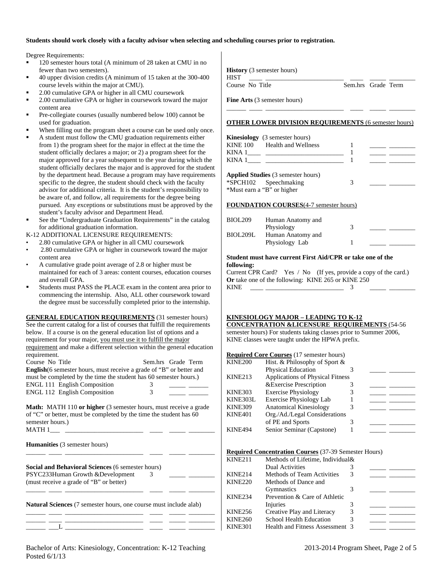## **Students should work closely with a faculty advisor when selecting and scheduling courses prior to registration.**

Degree Requirements:

- 120 semester hours total (A minimum of 28 taken at CMU in no fewer than two semesters).
- 40 upper division credits (A minimum of 15 taken at the 300-400 course levels within the major at CMU).
- 2.00 cumulative GPA or higher in all CMU coursework
- 2.00 cumuliative GPA or higher in coursework toward the major content area
- Pre-collegiate courses (usually numbered below 100) cannot be used for graduation.
- When filling out the program sheet a course can be used only once.
- A student must follow the CMU graduation requirements either from 1) the program sheet for the major in effect at the time the student officially declares a major; or 2) a program sheet for the major approved for a year subsequent to the year during which the student officially declares the major and is approved for the student by the department head. Because a program may have requirements specific to the degree, the student should check with the faculty advisor for additional criteria. It is the student's responsibility to be aware of, and follow, all requirements for the degree being pursued. Any exceptions or substitutions must be approved by the student's faculty advisor and Department Head.
- See the "Undergraduate Graduation Requirements" in the catalog for additional graduation information.
- K-12 ADDITIONAL LICENSURE REQUIREMENTS:
- 2.80 cumulative GPA or higher in all CMU coursework
- 2.80 cumulative GPA or higher in coursework toward the major content area
- A cumulative grade point average of 2.8 or higher must be maintained for each of 3 areas: content courses, education courses and overall GPA.
- Students must PASS the PLACE exam in the content area prior to commencing the internship. Also, ALL other coursework toward the degree must be successfully completed prior to the internship.

**GENERAL EDUCATION REQUIREMENTS** (31 semester hours) See the current catalog for a list of courses that fulfill the requirements below. If a course is on the general education list of options and a requirement for your major, you must use it to fulfill the major requirement and make a different selection within the general education requirement.<br>Course No Title Complete Course Toms

| Course No Title                                                             | Sem.nrs Grade Term |
|-----------------------------------------------------------------------------|--------------------|
| <b>English</b> (6 semester hours, must receive a grade of "B" or better and |                    |
| must be completed by the time the student has 60 semester hours.)           |                    |
| ENGL 111 English Composition                                                | 3                  |
| <b>ENGL 112 English Composition</b>                                         | 3                  |

**Math:** MATH 110 or higher (3 semester hours, must receive a grade of "C" or better, must be completed by the time the student has 60 semester hours.)<br>MATH 1

| <b>MATH 1</b>                                                                                                                            |                         |  |
|------------------------------------------------------------------------------------------------------------------------------------------|-------------------------|--|
| <b>Humanities</b> (3 semester hours)                                                                                                     |                         |  |
| <b>Social and Behavioral Sciences (6 semester hours)</b><br>PSYC233Human Growth & Development<br>(must receive a grade of "B" or better) | $\overline{\mathbf{3}}$ |  |
| <b>Natural Sciences</b> (7 semester hours, one course must include alab)                                                                 |                         |  |
|                                                                                                                                          |                         |  |

**History** (3 semester hours)

HIST \_\_\_\_ \_\_\_\_\_\_\_\_\_\_\_\_\_\_\_\_\_\_\_\_\_\_\_\_ \_\_\_\_ \_\_\_\_\_ \_\_\_\_\_\_\_\_

Course No Title Sem.hrs Grade Term

**Fine Arts** (3 semester hours)

### **OTHER LOWER DIVISION REQUIREMENTS** (6 semester hours)

\_\_\_\_\_\_ \_\_\_\_ \_\_\_\_\_\_\_\_\_\_\_\_\_\_\_\_\_\_\_\_\_\_\_\_ \_\_\_\_ \_\_\_\_\_ \_\_\_\_\_\_\_\_

| <b>Kinesiology</b> (3 semester hours)<br>KINE 100 Health and Wellness                            |  |
|--------------------------------------------------------------------------------------------------|--|
|                                                                                                  |  |
| KINA 1                                                                                           |  |
| <b>Applied Studies</b> (3 semester hours)<br>*SPCH102 Speechmaking<br>*Must earn a "B" or higher |  |

#### **FOUNDATION COURSES**(4-7 semester hours)

| BIOL <sub>209</sub> | Human Anatomy and<br>Physiology |  |
|---------------------|---------------------------------|--|
| BIOL209L            | Human Anatomy and               |  |
|                     | Physiology Lab                  |  |

#### **Student must have current First Aid/CPR or take one of the following:**

Current CPR Card? Yes / No (If yes, provide a copy of the card.) **Or** take one of the following: KINE 265 or KINE 250 KINE  $\frac{1}{\sqrt{3}}$   $\frac{3}{\sqrt{3}}$ 

## **KINESIOLOGY MAJOR – LEADING TO K-12**

**CONCENTRATION &LICENSURE REQUIREMENTS** (54-56 semester hours) For students taking classes prior to Summer 2006, KINE classes were taught under the HPWA prefix.

#### **Required Core Courses** (17 semester hours)

| KINE200        | Hist. & Philosophy of Sport &           |  |  |
|----------------|-----------------------------------------|--|--|
|                | Physical Education                      |  |  |
| KINE213        | <b>Applications of Physical Fitness</b> |  |  |
|                | & Exercise Prescription                 |  |  |
| KINE303        | <b>Exercise Physiology</b>              |  |  |
| KINE303L       | <b>Exercise Physiology Lab</b>          |  |  |
| <b>KINE309</b> | Anatomical Kinesiology                  |  |  |
| KINE401        | Org./Ad./Legal Considerations           |  |  |
|                | of PE and Sports                        |  |  |
| <b>KINE494</b> | Senior Seminar (Capstone)               |  |  |

#### **Required Concentration Courses** (37-39 Semester Hours)

| KINE211        | Methods of Lifetime, Individual & |  |  |
|----------------|-----------------------------------|--|--|
|                | <b>Dual Activities</b>            |  |  |
| KINE214        | <b>Methods of Team Activities</b> |  |  |
| KINE220        | Methods of Dance and              |  |  |
|                | <b>Gymnastics</b>                 |  |  |
| <b>KINE234</b> | Prevention & Care of Athletic     |  |  |
|                | Injuries                          |  |  |
| KINE256        | Creative Play and Literacy        |  |  |
| KINE260        | <b>School Health Education</b>    |  |  |
| KINE301        | Health and Fitness Assessment 3   |  |  |
|                |                                   |  |  |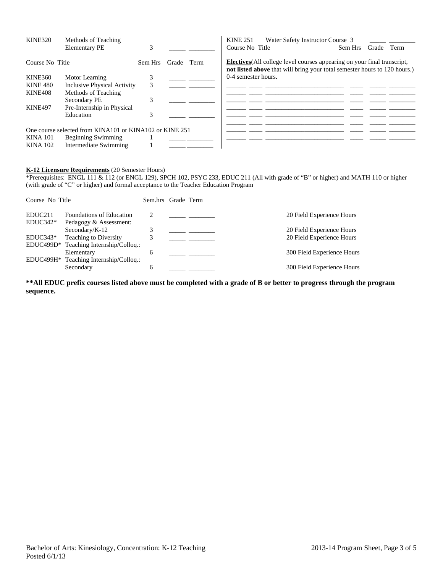| <b>KINE320</b>  | Methods of Teaching                                     |         |            | <b>KINE 251</b>     | Water Safety Instructor Course 3                                                                                                                             |         |       |      |
|-----------------|---------------------------------------------------------|---------|------------|---------------------|--------------------------------------------------------------------------------------------------------------------------------------------------------------|---------|-------|------|
|                 | <b>Elementary PE</b>                                    |         |            | Course No Title     |                                                                                                                                                              | Sem Hrs | Grade | Term |
| Course No Title |                                                         | Sem Hrs | Grade Term |                     | <b>Electives</b> (All college level courses appearing on your final transcript,<br>not listed above that will bring your total semester hours to 120 hours.) |         |       |      |
| KINE360         | Motor Learning                                          |         |            | 0-4 semester hours. |                                                                                                                                                              |         |       |      |
| <b>KINE 480</b> | Inclusive Physical Activity                             | 3       |            |                     |                                                                                                                                                              |         |       |      |
| KINE408         | Methods of Teaching                                     |         |            |                     |                                                                                                                                                              |         |       |      |
|                 | Secondary PE                                            | 3       |            |                     |                                                                                                                                                              |         |       |      |
| <b>KINE497</b>  | Pre-Internship in Physical                              |         |            |                     |                                                                                                                                                              |         |       |      |
|                 | Education                                               | 3       |            |                     |                                                                                                                                                              |         |       |      |
|                 | One course selected from KINA101 or KINA102 or KINE 251 |         |            |                     |                                                                                                                                                              |         |       |      |
| <b>KINA 101</b> | <b>Beginning Swimming</b>                               |         |            |                     |                                                                                                                                                              |         |       |      |
| <b>KINA 102</b> | Intermediate Swimming                                   |         |            |                     |                                                                                                                                                              |         |       |      |

# **K-12 Licensure Requirements** (20 Semester Hours)

\*Prerequisites: ENGL 111 & 112 (or ENGL 129), SPCH 102, PSYC 233, EDUC 211 (All with grade of "B" or higher) and MATH 110 or higher (with grade of "C" or higher) and formal acceptance to the Teacher Education Program

| Course No Title                   |                                                                                                | Sem.hrs Grade Term |  |                                                        |
|-----------------------------------|------------------------------------------------------------------------------------------------|--------------------|--|--------------------------------------------------------|
| EDUC <sub>211</sub><br>$EDUC342*$ | <b>Foundations of Education</b><br>Pedagogy & Assessment:                                      |                    |  | 20 Field Experience Hours                              |
| $EDUC343*$                        | Secondary/ $K-12$<br><b>Teaching to Diversity</b>                                              |                    |  | 20 Field Experience Hours<br>20 Field Experience Hours |
|                                   | EDUC499D* Teaching Internship/Colloq.:<br>Elementary<br>EDUC499H* Teaching Internship/Colloq.: | 6                  |  | 300 Field Experience Hours                             |
|                                   | Secondary                                                                                      | 6                  |  | 300 Field Experience Hours                             |

**\*\*All EDUC prefix courses listed above must be completed with a grade of B or better to progress through the program sequence.**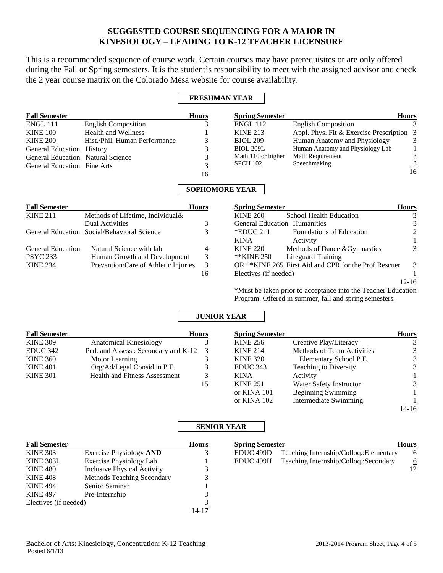# **SUGGESTED COURSE SEQUENCING FOR A MAJOR IN KINESIOLOGY – LEADING TO K-12 TEACHER LICENSURE**

This is a recommended sequence of course work. Certain courses may have prerequisites or are only offered during the Fall or Spring semesters. It is the student's responsibility to meet with the assigned advisor and check the 2 year course matrix on the Colorado Mesa website for course availability.

## **FRESHMAN YEAR**

| <b>Fall Semester</b>               |                               | <b>Hours</b> | <b>Spring Semester</b> |                                           | <b>Hours</b>  |
|------------------------------------|-------------------------------|--------------|------------------------|-------------------------------------------|---------------|
| <b>ENGL 111</b>                    | <b>English Composition</b>    |              | <b>ENGL 112</b>        | <b>English Composition</b>                |               |
| <b>KINE 100</b>                    | <b>Health and Wellness</b>    |              | <b>KINE 213</b>        | Appl. Phys. Fit & Exercise Prescription 3 |               |
| <b>KINE 200</b>                    | Hist./Phil. Human Performance |              | <b>BIOL 209</b>        | Human Anatomy and Physiology              | $\mathcal{E}$ |
| General Education History          |                               |              | <b>BIOL 209L</b>       | Human Anatomy and Physiology Lab          |               |
| General Education Natural Science  |                               |              | Math 110 or higher     | Math Requirement                          | 3             |
| <b>General Education Fine Arts</b> |                               |              | <b>SPCH 102</b>        | Speechmaking                              |               |
|                                    |                               | 16           |                        |                                           | 16            |

# **SOPHOMORE YEAR**

| <b>Fall Semester</b>     |                                             | Hours          |
|--------------------------|---------------------------------------------|----------------|
| <b>KINE 211</b>          | Methods of Lifetime, Individual &           |                |
|                          | <b>Dual Activities</b>                      |                |
|                          | General Education Social/Behavioral Science |                |
|                          |                                             |                |
| <b>General Education</b> | Natural Science with lab                    |                |
| <b>PSYC 233</b>          | Human Growth and Development                | 3              |
| <b>KINE 234</b>          | Prevention/Care of Athletic Injuries        | $\overline{3}$ |
|                          |                                             |                |

| <b>Spring Semester</b>              |                                                      | Hours |
|-------------------------------------|------------------------------------------------------|-------|
| <b>KINE 260</b>                     | School Health Education                              |       |
| <b>General Education Humanities</b> |                                                      |       |
| $*$ EDUC 211                        | <b>Foundations of Education</b>                      |       |
| <b>KINA</b>                         | Activity                                             |       |
| <b>KINE 220</b>                     | Methods of Dance & Gymnastics                        |       |
| **KINE 250                          | Lifeguard Training                                   |       |
|                                     | OR **KINE 265 First Aid and CPR for the Prof Rescuer | 3     |
| Electives (if needed)               |                                                      |       |
|                                     |                                                      |       |

\*Must be taken prior to acceptance into the Teacher Education Program. Offered in summer, fall and spring semesters.

**Spring Semester Hours** EDUC 499D Teaching Internship/Colloq.:Elementary 6 EDUC 499H Teaching Internship/Colloq.:Secondary 6 12

## **JUNIOR YEAR**

| <b>Fall Semester</b> |                                      | <b>Hours</b> | <b>Spring Semester</b> |                                   | <b>Hours</b> |
|----------------------|--------------------------------------|--------------|------------------------|-----------------------------------|--------------|
| <b>KINE 309</b>      | <b>Anatomical Kinesiology</b>        |              | <b>KINE 256</b>        | Creative Play/Literacy            | 3            |
| EDUC 342             | Ped. and Assess.: Secondary and K-12 |              | <b>KINE 214</b>        | <b>Methods of Team Activities</b> | 3            |
| <b>KINE 360</b>      | Motor Learning                       |              | <b>KINE 320</b>        | Elementary School P.E.            | 3            |
| <b>KINE 401</b>      | Org/Ad/Legal Consid in P.E.          | 3            | EDUC <sub>343</sub>    | <b>Teaching to Diversity</b>      | 3            |
| <b>KINE 301</b>      | <b>Health and Fitness Assessment</b> |              | <b>KINA</b>            | Activity                          |              |
|                      |                                      | 15           | <b>KINE 251</b>        | Water Safety Instructor           | 3            |
|                      |                                      |              | or KINA 101            | <b>Beginning Swimming</b>         |              |
|                      |                                      |              | or KINA 102            | Intermediate Swimming             |              |
|                      |                                      |              |                        |                                   | 14-16        |

## **SENIOR YEAR**

| <b>Fall Semester</b>  |                                    | <b>Hours</b> |
|-----------------------|------------------------------------|--------------|
| <b>KINE 303</b>       | <b>Exercise Physiology AND</b>     |              |
| <b>KINE 303L</b>      | <b>Exercise Physiology Lab</b>     |              |
| <b>KINE 480</b>       | <b>Inclusive Physical Activity</b> |              |
| <b>KINE 408</b>       | Methods Teaching Secondary         |              |
| <b>KINE 494</b>       | Senior Seminar                     |              |
| <b>KINE 497</b>       | Pre-Internship                     |              |
| Electives (if needed) |                                    |              |
|                       |                                    |              |